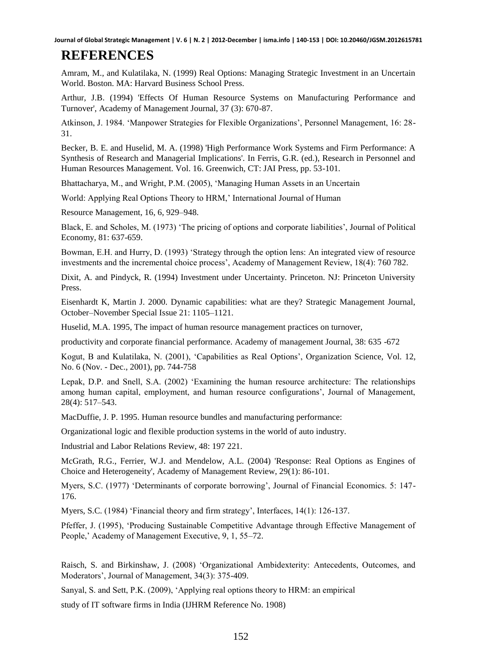**Journal of Global Strategic Management | V. 6 | N. 2 | 2012-December | isma.info | 140-153 | DOI: 10.20460/JGSM.2012615781**

## **REFERENCES**

Amram, M., and Kulatilaka, N. (1999) Real Options: Managing Strategic Investment in an Uncertain World. Boston. MA: Harvard Business School Press.

Arthur, J.B. (1994) 'Effects Of Human Resource Systems on Manufacturing Performance and Turnover', Academy of Management Journal, 37 (3): 670-87.

Atkinson, J. 1984. 'Manpower Strategies for Flexible Organizations', Personnel Management, 16: 28- 31.

Becker, B. E. and Huselid, M. A. (1998) 'High Performance Work Systems and Firm Performance: A Synthesis of Research and Managerial Implications'. In Ferris, G.R. (ed.), Research in Personnel and Human Resources Management. Vol. 16. Greenwich, CT: JAI Press, pp. 53-101.

Bhattacharya, M., and Wright, P.M. (2005), 'Managing Human Assets in an Uncertain

World: Applying Real Options Theory to HRM,' International Journal of Human

Resource Management, 16, 6, 929–948.

Black, E. and Scholes, M. (1973) 'The pricing of options and corporate liabilities', Journal of Political Economy, 81: 637-659.

Bowman, E.H. and Hurry, D. (1993) 'Strategy through the option lens: An integrated view of resource investments and the incremental choice process', Academy of Management Review, 18(4): 760 782.

Dixit, A. and Pindyck, R. (1994) Investment under Uncertainty. Princeton. NJ: Princeton University Press.

Eisenhardt K, Martin J. 2000. Dynamic capabilities: what are they? Strategic Management Journal, October–November Special Issue 21: 1105–1121.

Huselid, M.A. 1995, The impact of human resource management practices on turnover,

productivity and corporate financial performance. Academy of management Journal, 38: 635 -672

Kogut, B and Kulatilaka, N. (2001), 'Capabilities as Real Options', Organization Science, Vol. 12, No. 6 (Nov. - Dec., 2001), pp. 744-758

Lepak, D.P. and Snell, S.A. (2002) 'Examining the human resource architecture: The relationships among human capital, employment, and human resource configurations', Journal of Management, 28(4): 517–543.

MacDuffie, J. P. 1995. Human resource bundles and manufacturing performance:

Organizational logic and flexible production systems in the world of auto industry.

Industrial and Labor Relations Review, 48: 197 221.

McGrath, R.G., Ferrier, W.J. and Mendelow, A.L. (2004) 'Response: Real Options as Engines of Choice and Heterogeneity', Academy of Management Review, 29(1): 86-101.

Myers, S.C. (1977) 'Determinants of corporate borrowing', Journal of Financial Economics. 5: 147- 176.

Myers, S.C. (1984) 'Financial theory and firm strategy', Interfaces, 14(1): 126-137.

Pfeffer, J. (1995), 'Producing Sustainable Competitive Advantage through Effective Management of People,' Academy of Management Executive, 9, 1, 55–72.

Raisch, S. and Birkinshaw, J. (2008) 'Organizational Ambidexterity: Antecedents, Outcomes, and Moderators', Journal of Management, 34(3): 375-409.

Sanyal, S. and Sett, P.K. (2009), 'Applying real options theory to HRM: an empirical

study of IT software firms in India (IJHRM Reference No. 1908)